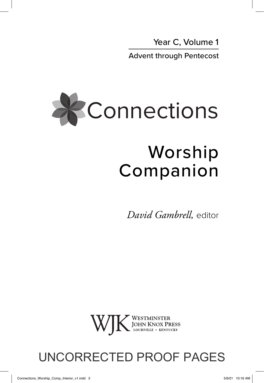Year C, Volume 1

Advent through Pentecost



# Worship Companion

*David Gambrell,* editor

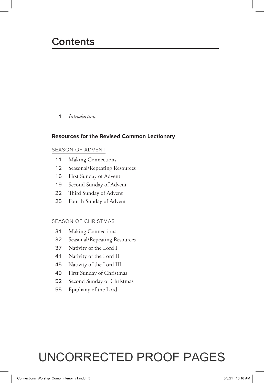# **Contents**

*Introduction*

### **Resources for the Revised Common Lectionary**

### SEASON OF ADVENT

- Making Connections
- Seasonal/Repeating Resources
- First Sunday of Advent
- Second Sunday of Advent
- Third Sunday of Advent
- Fourth Sunday of Advent

### SEASON OF CHRISTMAS

- Making Connections
- Seasonal/Repeating Resources
- Nativity of the Lord I
- Nativity of the Lord II
- Nativity of the Lord III
- First Sunday of Christmas
- Second Sunday of Christmas
- Epiphany of the Lord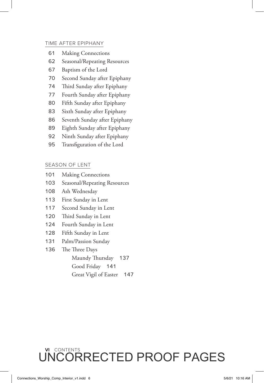### TIME AFTER EPIPHANY

- Making Connections
- Seasonal/Repeating Resources
- Baptism of the Lord
- Second Sunday after Epiphany
- Third Sunday after Epiphany
- Fourth Sunday after Epiphany
- Fifth Sunday after Epiphany
- Sixth Sunday after Epiphany
- Seventh Sunday after Epiphany
- Eighth Sunday after Epiphany
- Ninth Sunday after Epiphany
- Transfiguration of the Lord

### SEASON OF LENT

 Making Connections Seasonal/Repeating Resources Ash Wednesday First Sunday in Lent Second Sunday in Lent Third Sunday in Lent Fourth Sunday in Lent Fifth Sunday in Lent Palm/Passion Sunday The Three Days Maundy Thursday 137 Good Friday 141 Great Vigil of Easter 147

## **vi** Contents **ICORRECTED PROOF PAGES**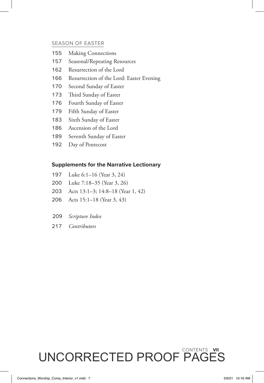### SEASON OF EASTER

- Making Connections
- Seasonal/Repeating Resources
- Resurrection of the Lord
- Resurrection of the Lord: Easter Evening
- Second Sunday of Easter
- Third Sunday of Easter
- Fourth Sunday of Easter
- Fifth Sunday of Easter
- Sixth Sunday of Easter
- Ascension of the Lord
- Seventh Sunday of Easter
- Day of Pentecost

### **Supplements for the Narrative Lectionary**

- Luke 6:1–16 (Year 3, 24)
- Luke 7:18–35 (Year 3, 26)
- Acts 13:1–3; 14:8–18 (Year 1, 42)
- Acts 15:1–18 (Year 3, 43)
- *Scripture Index*
- *Contributors*

# Contents **vii** UNCORRECTED PROOF PAGES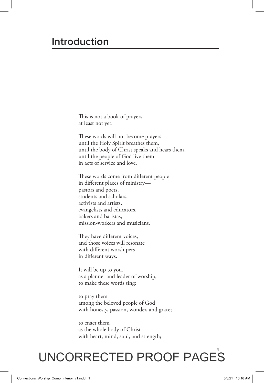# **Introduction**

This is not a book of prayers at least not yet.

These words will not become prayers until the Holy Spirit breathes them, until the body of Christ speaks and hears them, until the people of God live them in acts of service and love.

These words come from different people in different places of ministry pastors and poets, students and scholars, activists and artists, evangelists and educators, bakers and baristas, mission-workers and musicians.

They have different voices, and those voices will resonate with different worshipers in different ways.

It will be up to you, as a planner and leader of worship, to make these words sing:

to pray them among the beloved people of God with honesty, passion, wonder, and grace;

to enact them as the whole body of Christ with heart, mind, soul, and strength;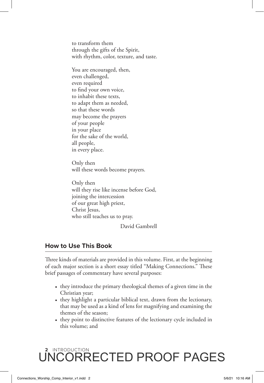to transform them through the gifts of the Spirit, with rhythm, color, texture, and taste.

You are encouraged, then, even challenged, even required to find your own voice, to inhabit these texts, to adapt them as needed, so that these words may become the prayers of your people in your place for the sake of the world, all people, in every place.

Only then will these words become prayers.

Only then will they rise like incense before God, joining the intercession of our great high priest, Christ Jesus, who still teaches us to pray.

David Gambrell

### **How to Use This Book**

Three kinds of materials are provided in this volume. First, at the beginning of each major section is a short essay titled "Making Connections." These brief passages of commentary have several purposes:

- they introduce the primary theological themes of a given time in the Christian year;
- they highlight a particular biblical text, drawn from the lectionary, that may be used as a kind of lens for magnifying and examining the themes of the season;
- they point to distinctive features of the lectionary cycle included in this volume; and

# **2** Introduction **ICORRECTED PROOF PAGES**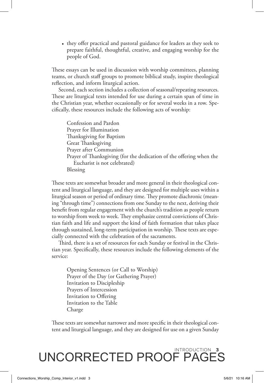• they offer practical and pastoral guidance for leaders as they seek to prepare faithful, thoughtful, creative, and engaging worship for the people of God.

These essays can be used in discussion with worship committees, planning teams, or church staff groups to promote biblical study, inspire theological reflection, and inform liturgical action.

Second, each section includes a collection of seasonal/repeating resources. These are liturgical texts intended for use during a certain span of time in the Christian year, whether occasionally or for several weeks in a row. Specifically, these resources include the following acts of worship:

Confession and Pardon Prayer for Illumination Thanksgiving for Baptism Great Thanksgiving Prayer after Communion Prayer of Thanksgiving (for the dedication of the offering when the Eucharist is not celebrated) Blessing

These texts are somewhat broader and more general in their theological content and liturgical language, and they are designed for multiple uses within a liturgical season or period of ordinary time. They promote diachronic (meaning "through time") connections from one Sunday to the next, deriving their benefit from regular engagement with the church's tradition as people return to worship from week to week. They emphasize central convictions of Christian faith and life and support the kind of faith formation that takes place through sustained, long-term participation in worship. These texts are especially connected with the celebration of the sacraments.

Third, there is a set of resources for each Sunday or festival in the Christian year. Specifically, these resources include the following elements of the service:

Opening Sentences (or Call to Worship) Prayer of the Day (or Gathering Prayer) Invitation to Discipleship Prayers of Intercession Invitation to Offering Invitation to the Table Charge

These texts are somewhat narrower and more specific in their theological content and liturgical language, and they are designed for use on a given Sunday

## Introduction **3** UNCORRECTED PROOF PAGES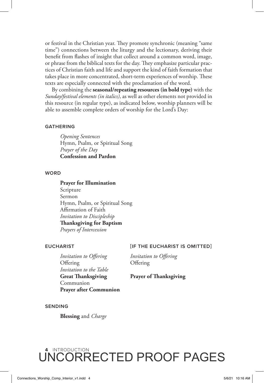or festival in the Christian year. They promote synchronic (meaning "same time") connections between the liturgy and the lectionary, deriving their benefit from flashes of insight that collect around a common word, image, or phrase from the biblical texts for the day. They emphasize particular practices of Christian faith and life and support the kind of faith formation that takes place in more concentrated, short-term experiences of worship. These texts are especially connected with the proclamation of the word.

By combining the **seasonal/repeating resources (in bold type)** with the *Sunday/festival elements (in italics)*, as well as other elements not provided in this resource (in regular type), as indicated below, worship planners will be able to assemble complete orders of worship for the Lord's Day:

### **GATHERING**

*Opening Sentences* Hymn, Psalm, or Spiritual Song *Prayer of the Day* **Confession and Pardon** 

### **WORD**

**Prayer for Illumination** Scripture Sermon Hymn, Psalm, or Spiritual Song Affirmation of Faith *Invitation to Discipleship*  **Thanksgiving for Baptism** *Prayers of Intercession*

### **EUCHARIST [IF THE EUCHARIST IS OMITTED]**

*Invitation to Offering Invitation to Offering* Offering Offering

**Great Thanksgiving Prayer of Thanksgiving**

#### **SENDING**

**Blessing** and *Charge*

*Invitation to the Table*

**Prayer after Communion**

Communion

## **4** Introduction UNCORRECTED PROOF PAGES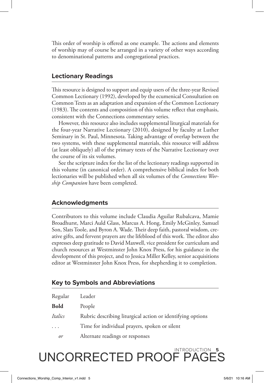This order of worship is offered as one example. The actions and elements of worship may of course be arranged in a variety of other ways according to denominational patterns and congregational practices.

### **Lectionary Readings**

This resource is designed to support and equip users of the three-year Revised Common Lectionary (1992), developed by the ecumenical Consultation on Common Texts as an adaptation and expansion of the Common Lectionary (1983). The contents and composition of this volume reflect that emphasis, consistent with the Connections commentary series.

However, this resource also includes supplemental liturgical materials for the four-year Narrative Lectionary (2010), designed by faculty at Luther Seminary in St. Paul, Minnesota. Taking advantage of overlap between the two systems, with these supplemental materials, this resource will address (at least obliquely) all of the primary texts of the Narrative Lectionary over the course of its six volumes.

See the scripture index for the list of the lectionary readings supported in this volume (in canonical order). A comprehensive biblical index for both lectionaries will be published when all six volumes of the *Connections Worship Companion* have been completed.

### **Acknowledgments**

Contributors to this volume include Claudia Aguilar Rubalcava, Mamie Broadhurst, Marci Auld Glass, Marcus A. Hong, Emily McGinley, Samuel Son, Slats Toole, and Byron A. Wade. Their deep faith, pastoral wisdom, creative gifts, and fervent prayers are the lifeblood of this work. The editor also expresses deep gratitude to David Maxwell, vice president for curriculum and church resources at Westminster John Knox Press, for his guidance in the development of this project, and to Jessica Miller Kelley, senior acquisitions editor at Westminster John Knox Press, for shepherding it to completion.

| Regular     | Leader                                                     |
|-------------|------------------------------------------------------------|
| <b>Bold</b> | People                                                     |
| Italics     | Rubric describing liturgical action or identifying options |
|             | Time for individual prayers, spoken or silent              |
| or          | Alternate readings or responses                            |

### **Key to Symbols and Abbreviations**

## Introduction **5** UNCORRECTED PROOF PAGES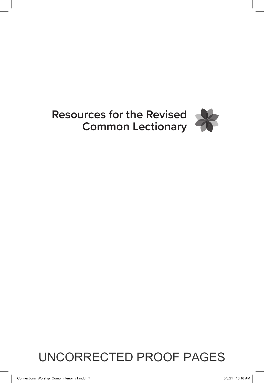# **Resources for the Revised Common Lectionary**

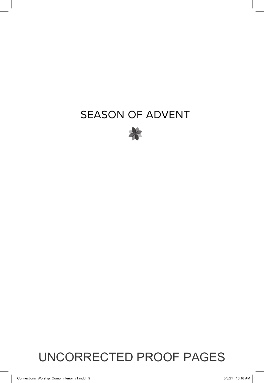# SEASON OF ADVENT

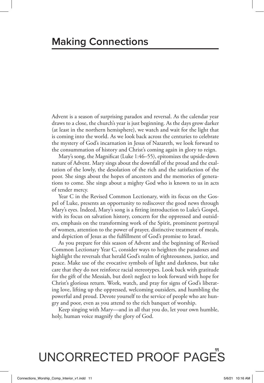Advent is a season of surprising paradox and reversal. As the calendar year draws to a close, the church's year is just beginning. As the days grow darker (at least in the northern hemisphere), we watch and wait for the light that is coming into the world. As we look back across the centuries to celebrate the mystery of God's incarnation in Jesus of Nazareth, we look forward to the consummation of history and Christ's coming again in glory to reign.

Mary's song, the Magnificat (Luke 1:46–55), epitomizes the upside-down nature of Advent. Mary sings about the downfall of the proud and the exaltation of the lowly, the desolation of the rich and the satisfaction of the poor. She sings about the hopes of ancestors and the memories of generations to come. She sings about a mighty God who is known to us in acts of tender mercy.

Year C in the Revised Common Lectionary, with its focus on the Gospel of Luke, presents an opportunity to rediscover the good news through Mary's eyes. Indeed, Mary's song is a fitting introduction to Luke's Gospel, with its focus on salvation history, concern for the oppressed and outsiders, emphasis on the transforming work of the Spirit, prominent portrayal of women, attention to the power of prayer, distinctive treatment of meals, and depiction of Jesus as the fulfillment of God's promise to Israel.

As you prepare for this season of Advent and the beginning of Revised Common Lectionary Year C, consider ways to heighten the paradoxes and highlight the reversals that herald God's realm of righteousness, justice, and peace. Make use of the evocative symbols of light and darkness, but take care that they do not reinforce racial stereotypes. Look back with gratitude for the gift of the Messiah, but don't neglect to look forward with hope for Christ's glorious return. Work, watch, and pray for signs of God's liberating love, lifting up the oppressed, welcoming outsiders, and humbling the powerful and proud. Devote yourself to the service of people who are hungry and poor, even as you attend to the rich banquet of worship.

Keep singing with Mary—and in all that you do, let your own humble, holy, human voice magnify the glory of God.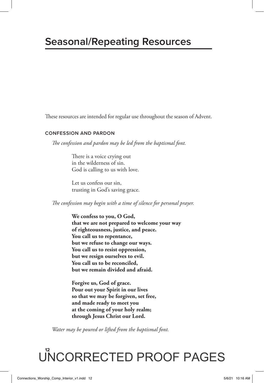# **Seasonal/Repeating Resources**

These resources are intended for regular use throughout the season of Advent.

### **CONFESSION AND PARDON**

*The confession and pardon may be led from the baptismal font.* 

There is a voice crying out in the wilderness of sin. God is calling to us with love.

Let us confess our sin, trusting in God's saving grace.

*The confession may begin with a time of silence for personal prayer.* 

**We confess to you, O God, that we are not prepared to welcome your way of righteousness, justice, and peace. You call us to repentance, but we refuse to change our ways. You call us to resist oppression, but we resign ourselves to evil. You call us to be reconciled, but we remain divided and afraid.** 

**Forgive us, God of grace. Pour out your Spirit in our lives so that we may be forgiven, set free, and made ready to meet you at the coming of your holy realm; through Jesus Christ our Lord.**

*Water may be poured or lifted from the baptismal font.*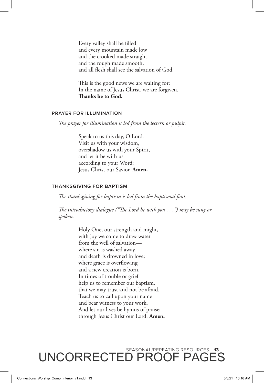Every valley shall be filled and every mountain made low and the crooked made straight and the rough made smooth, and all flesh shall see the salvation of God.

This is the good news we are waiting for: In the name of Jesus Christ, we are forgiven. **Thanks be to God.** 

### **PRAYER FOR ILLUMINATION**

*The prayer for illumination is led from the lectern or pulpit.* 

Speak to us this day, O Lord. Visit us with your wisdom, overshadow us with your Spirit, and let it be with us according to your Word: Jesus Christ our Savior. **Amen.** 

### **THANKSGIVING FOR BAPTISM**

*The thanksgiving for baptism is led from the baptismal font.*

*The introductory dialogue ("The Lord be with you . . .") may be sung or spoken.* 

> Holy One, our strength and might, with joy we come to draw water from the well of salvation where sin is washed away and death is drowned in love; where grace is overflowing and a new creation is born. In times of trouble or grief help us to remember our baptism, that we may trust and not be afraid. Teach us to call upon your name and bear witness to your work. And let our lives be hymns of praise; through Jesus Christ our Lord. **Amen.**

## Seasonal/Repeating Resources **13** UNCORRECTED PROOF PAGES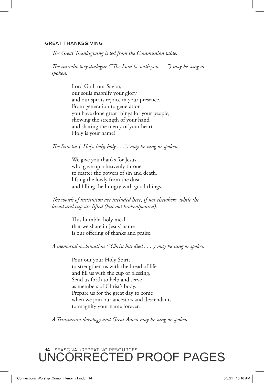### **GREAT THANKSGIVING**

*The Great Thanksgiving is led from the Communion table.* 

*The introductory dialogue ("The Lord be with you . . .") may be sung or spoken.* 

> Lord God, our Savior, our souls magnify your glory and our spirits rejoice in your presence. From generation to generation you have done great things for your people, showing the strength of your hand and sharing the mercy of your heart. Holy is your name!

*The Sanctus ("Holy, holy, holy . . .") may be sung or spoken.* 

We give you thanks for Jesus, who gave up a heavenly throne to scatter the powers of sin and death, lifting the lowly from the dust and filling the hungry with good things.

*The words of institution are included here, if not elsewhere, while the bread and cup are lifted (but not broken/poured).* 

> This humble, holy meal that we share in Jesus' name is our offering of thanks and praise.

*A memorial acclamation ("Christ has died . . .") may be sung or spoken.* 

Pour out your Holy Spirit to strengthen us with the bread of life and fill us with the cup of blessing. Send us forth to help and serve as members of Christ's body. Prepare us for the great day to come when we join our ancestors and descendants to magnify your name forever.

*A Trinitarian doxology and Great Amen may be sung or spoken.* 

## **14** Seasonal/Repeating Resources CORRECTED PROOF PAGES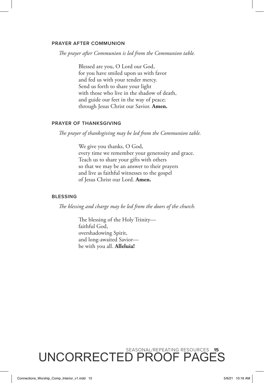### **PRAYER AFTER COMMUNION**

*The prayer after Communion is led from the Communion table.* 

Blessed are you, O Lord our God, for you have smiled upon us with favor and fed us with your tender mercy. Send us forth to share your light with those who live in the shadow of death, and guide our feet in the way of peace; through Jesus Christ our Savior. **Amen.** 

### **PRAYER OF THANKSGIVING**

*The prayer of thanksgiving may be led from the Communion table.*

We give you thanks, O God, every time we remember your generosity and grace. Teach us to share your gifts with others so that we may be an answer to their prayers and live as faithful witnesses to the gospel of Jesus Christ our Lord. **Amen.** 

### **BLESSING**

*The blessing and charge may be led from the doors of the church.*

The blessing of the Holy Trinity faithful God, overshadowing Spirit, and long-awaited Savior be with you all. **Alleluia!**

Seasonal/Repeating Resources **15** UNCORRECTED PROOF PAGES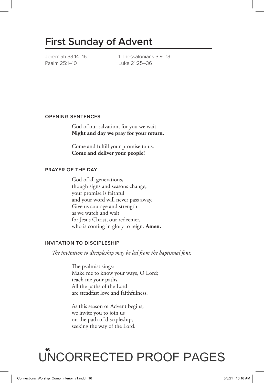Psalm 25:1–10 Luke 21:25–36

Jeremiah 33:14–16 1 Thessalonians 3:9–13

### **OPENING SENTENCES**

God of our salvation, for you we wait. **Night and day we pray for your return.** 

Come and fulfill your promise to us. **Come and deliver your people!** 

### **PRAYER OF THE DAY**

God of all generations, though signs and seasons change, your promise is faithful and your word will never pass away. Give us courage and strength as we watch and wait for Jesus Christ, our redeemer, who is coming in glory to reign. **Amen.**

### **INVITATION TO DISCIPLESHIP**

*The invitation to discipleship may be led from the baptismal font.*

The psalmist sings: Make me to know your ways, O Lord; teach me your paths. All the paths of the Lord are steadfast love and faithfulness.

As this season of Advent begins, we invite you to join us on the path of discipleship, seeking the way of the Lord.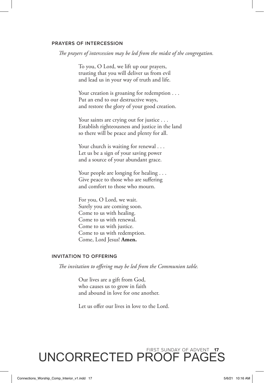#### **PRAYERS OF INTERCESSION**

*The prayers of intercession may be led from the midst of the congregation.*

To you, O Lord, we lift up our prayers, trusting that you will deliver us from evil and lead us in your way of truth and life.

Your creation is groaning for redemption . . . Put an end to our destructive ways, and restore the glory of your good creation.

Your saints are crying out for justice . . . Establish righteousness and justice in the land so there will be peace and plenty for all.

Your church is waiting for renewal . . . Let us be a sign of your saving power and a source of your abundant grace.

Your people are longing for healing . . . Give peace to those who are suffering and comfort to those who mourn.

For you, O Lord, we wait. Surely you are coming soon. Come to us with healing. Come to us with renewal. Come to us with justice. Come to us with redemption. Come, Lord Jesus! **Amen.** 

### **INVITATION TO OFFERING**

*The invitation to offering may be led from the Communion table.* 

Our lives are a gift from God, who causes us to grow in faith and abound in love for one another.

Let us offer our lives in love to the Lord.

UNCORRECTED PROOF PAGES

First Sunday of Advent **17**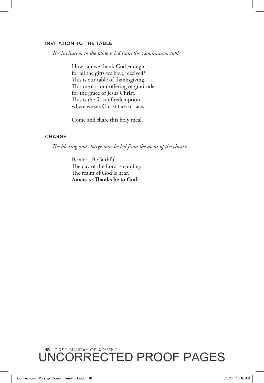### **INVITATION TO THE TABLE**

*The invitation to the table is led from the Communion table.*

How can we thank God enough for all the gifts we have received? This is our table of thanksgiving. This meal is our offering of gratitude for the grace of Jesus Christ. This is the feast of redemption where we see Christ face to face.

Come and share this holy meal.

### **CHARGE**

*The blessing and charge may be led from the doors of the church.*

Be alert. Be faithful. The day of the Lord is coming. The realm of God is near. **Amen.** *or* **Thanks be to God.**

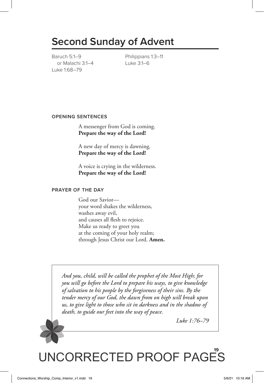# **Second Sunday of Advent**

Baruch 5:1–9 Philippians 1:3–11 or Malachi 3:1–4 Luke 3:1–6 Luke 1:68–79

### **OPENING SENTENCES**

A messenger from God is coming. **Prepare the way of the Lord!**

A new day of mercy is dawning. **Prepare the way of the Lord!**

A voice is crying in the wilderness. **Prepare the way of the Lord!**

### **PRAYER OF THE DAY**

God our Savior your word shakes the wilderness, washes away evil, and causes all flesh to rejoice. Make us ready to greet you at the coming of your holy realm; through Jesus Christ our Lord. **Amen.**

*And you, child, will be called the prophet of the Most High; for you will go before the Lord to prepare his ways, to give knowledge of salvation to his people by the forgiveness of their sins. By the tender mercy of our God, the dawn from on high will break upon us, to give light to those who sit in darkness and in the shadow of death, to guide our feet into the way of peace.*



*Luke 1:76–79*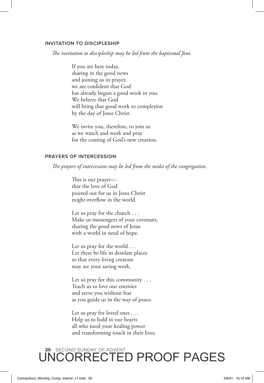### **INVITATION TO DISCIPLESHIP**

*The invitation to discipleship may be led from the baptismal font.*

If you are here today, sharing in the good news and joining us in prayer, we are confident that God has already begun a good work in you. We believe that God will bring that good work to completion by the day of Jesus Christ.

We invite you, therefore, to join us as we watch and work and pray for the coming of God's new creation.

### **PRAYERS OF INTERCESSION**

*The prayers of intercession may be led from the midst of the congregation.* 

This is our prayer that the love of God poured out for us in Jesus Christ might overflow in the world.

Let us pray for the church . . . Make us messengers of your covenant, sharing the good news of Jesus with a world in need of hope.

Let us pray for the world . . . Let there be life in desolate places so that every living creature may see your saving work.

Let us pray for this community . . . Teach us to love our enemies and serve you without fear as you guide us in the way of peace.

Let us pray for loved ones . . . Help us to hold in our hearts all who need your healing power and transforming touch in their lives.

## **20** Second Sunday of Advent CORRECTED PROOF PAGES